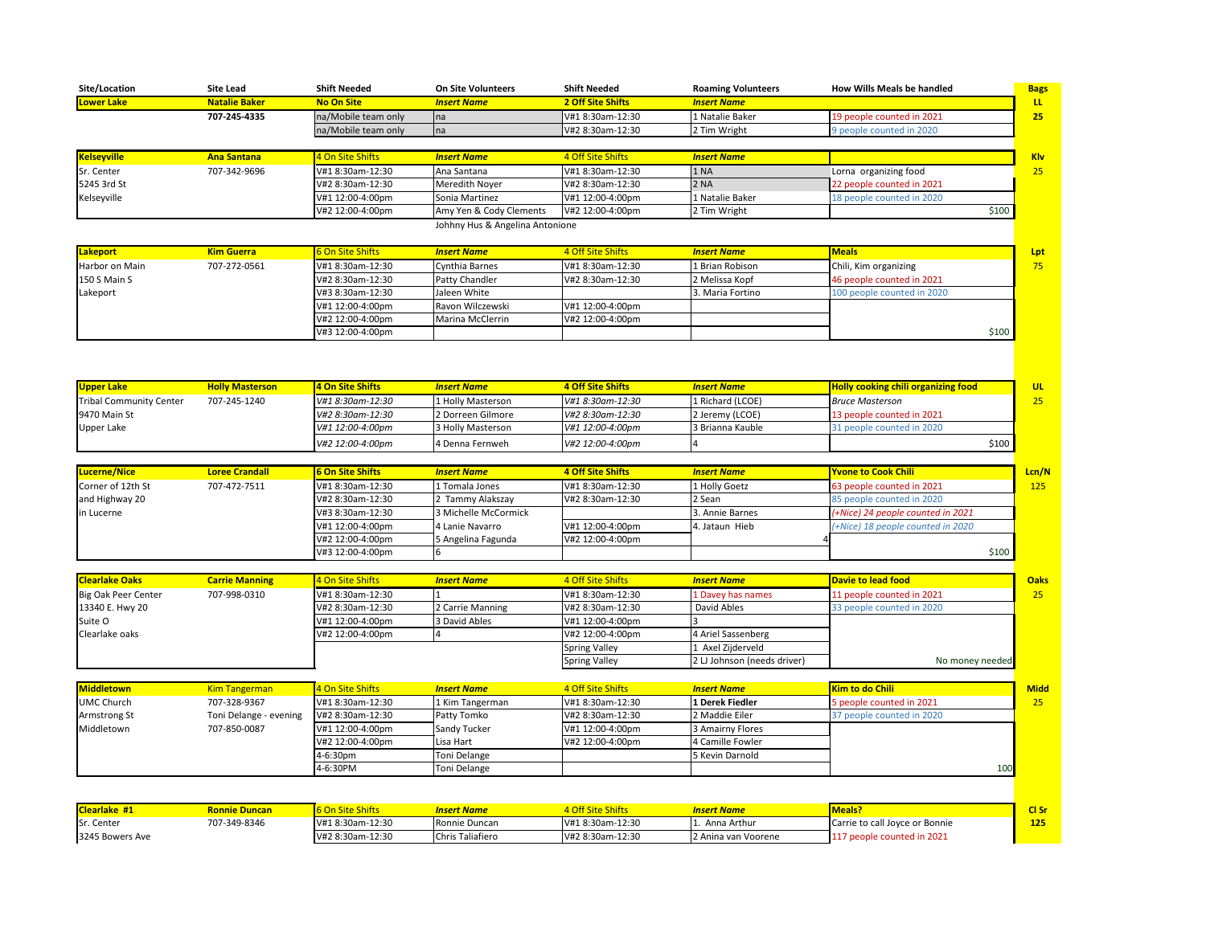| Site/Location      | <b>Site Lead</b>     | <b>Shift Needed</b> | <b>On Site Volunteers</b> | <b>Shift Needed</b> | <b>Roaming Volunteers</b> | <b>How Wills Meals be handled</b> | <b>Bags</b>     |
|--------------------|----------------------|---------------------|---------------------------|---------------------|---------------------------|-----------------------------------|-----------------|
| Lower Lake         | <b>Natalie Baker</b> | <b>No On Site</b>   | <b>Insert Name</b>        | 2 Off Site Shifts   | <b>Insert Name</b>        |                                   | LL.             |
|                    | 707-245-4335         | na/Mobile team only | na                        | V#1 8:30am-12:30    | 1 Natalie Baker           | 19 people counted in 2021         | 25 <sub>2</sub> |
|                    |                      | na/Mobile team only | Ina                       | V#2 8:30am-12:30    | 2 Tim Wright              | 9 people counted in 2020          |                 |
|                    |                      |                     |                           |                     |                           |                                   |                 |
| <b>Kelseyville</b> | <b>Ana Santana</b>   | 4 On Site Shifts    | <b>Insert Name</b>        | 4 Off Site Shifts   | <b>Insert Name</b>        |                                   | <b>Klv</b>      |
| Sr. Center         | 707-342-9696         | V#1 8:30am-12:30    | Ana Santana               | V#1 8:30am-12:30    | 11 NA                     | Lorna organizing food             | 25              |
| 5245 3rd St        |                      | V#2 8:30am-12:30    | Meredith Noyer            | V#2 8:30am-12:30    | <b>2 NA</b>               | 22 people counted in 2021         |                 |
| Kelseyville        |                      | V#1 12:00-4:00pm    | Sonia Martinez            | V#1 12:00-4:00pm    | 1 Natalie Baker           | 18 people counted in 2020         |                 |
|                    |                      | V#2 12:00-4:00pm    | Amy Yen & Cody Clements   | V#2 12:00-4:00pm    | 2 Tim Wright              |                                   | \$100           |

Johhny Hus & Angelina Antonione

| Lakeport            | <b>Kim Guerra</b> | <b>6 On Site Shifts</b> | <b>Insert Name</b> | 4 Off Site Shifts | <b>Insert Name</b> | Meals                      | Lpt |
|---------------------|-------------------|-------------------------|--------------------|-------------------|--------------------|----------------------------|-----|
| Harbor on Main      | 707-272-0561      | V#1 8:30am-12:30        | Cynthia Barnes     | V#1 8:30am-12:30  | 1 Brian Robison    | Chili, Kim organizing      | 75  |
| <b>150 S Main S</b> |                   | V#2 8:30am-12:30        | Patty Chandler     | V#2 8:30am-12:30  | 2 Melissa Kopf     | 46 people counted in 2021  |     |
| Lakeport            |                   | V#3 8:30am-12:30        | Jaleen White       |                   | . Maria Fortino    | 100 people counted in 2020 |     |
|                     |                   | V#1 12:00-4:00pm        | Ravon Wilczewski   | V#1 12:00-4:00pm  |                    |                            |     |
|                     |                   | V#2 12:00-4:00pm        | Marina McClerrin   | V#2 12:00-4:00pm  |                    |                            |     |
|                     |                   | V#3 12:00-4:00pm        |                    |                   |                    | \$100                      |     |

| Upper Lake                     | <b>Holly Masterson</b> | 4 On Site Shifts | <b>Insert Name</b> | <b>4 Off Site Shifts</b>  | <b>Insert Name</b> | <b>Holly cooking chili organizing food</b> | UL |
|--------------------------------|------------------------|------------------|--------------------|---------------------------|--------------------|--------------------------------------------|----|
| <b>Tribal Community Center</b> | 707-245-1240           | V#1 8:30am-12:30 | 1 Holly Masterson  | V#1 8:30am-12:30          | 1 Richard (LCOE)   | <b>Bruce Masterson</b>                     |    |
| 9470 Main St                   |                        | V#2 8:30am-12:30 | 12 Dorreen Gilmore | V#2 8:30am-12:30          | 2 Jeremy (LCOE)    | 13 people counted in 2021                  |    |
| Upper Lake                     |                        | V#1 12:00-4:00pm | 13 Holly Masterson | <b>I</b> V#1 12:00-4:00pm | 3 Brianna Kauble   | 131 people counted in 2020                 |    |
|                                |                        | V#2 12:00-4:00pm | 14 Denna Fernweh   | $V#2 12:00-4:00pm$        |                    | \$100                                      |    |

| Lucerne/Nice      | <b>Loree Crandall</b> | <b>6 On Site Shifts</b> | <b>Insert Name</b>   | 4 Off Site Shifts | <b>Insert Name</b> | <b>Yvone to Cook Chili</b>        | Lcn/N |
|-------------------|-----------------------|-------------------------|----------------------|-------------------|--------------------|-----------------------------------|-------|
| Corner of 12th St | 707-472-7511          | V#1 8:30am-12:30        | 1 Tomala Jones       | V#1 8:30am-12:30  | 1 Holly Goetz      | 63 people counted in 2021         | 125   |
| and Highway 20    |                       | V#2 8:30am-12:30        | Tammy Alakszay       | V#2 8:30am-12:30  | 2 Sean             | 85 people counted in 2020         |       |
| in Lucerne        |                       | V#3 8:30am-12:30        | 3 Michelle McCormick |                   | 3. Annie Barnes    | (+Nice) 24 people counted in 2021 |       |
|                   |                       | V#1 12:00-4:00pm        | 4 Lanie Navarro      | V#1 12:00-4:00pm  | 4. Jataun Hieb     | (+Nice) 18 people counted in 2020 |       |
|                   |                       | V#2 12:00-4:00pm        | 5 Angelina Fagunda   | V#2 12:00-4:00pm  |                    |                                   |       |
|                   |                       | V#3 12:00-4:00pm        |                      |                   |                    | \$100                             |       |

| <b>Clearlake Oaks</b> | <b>Carrie Manning</b> | 4 On Site Shifts | <b>Insert Name</b> | 4 Off Site Shifts    | <b>Insert Name</b>          | Davie to lead food        | <b>Oaks</b>     |
|-----------------------|-----------------------|------------------|--------------------|----------------------|-----------------------------|---------------------------|-----------------|
| Big Oak Peer Center   | 707-998-0310          | V#1 8:30am-12:30 |                    | V#1 8:30am-12:30     | 1 Davey has names           | 11 people counted in 2021 | 25 <sub>1</sub> |
| 13340 E. Hwy 20       |                       | V#2 8:30am-12:30 | 2 Carrie Manning   | V#2 8:30am-12:30     | David Ables                 | 33 people counted in 2020 |                 |
| Suite O               |                       | V#1 12:00-4:00pm | 3 David Ables      | V#1 12:00-4:00pm     |                             |                           |                 |
| Clearlake oaks        |                       | V#2 12:00-4:00pm |                    | V#2 12:00-4:00pm     | 4 Ariel Sassenberg          |                           |                 |
|                       |                       |                  |                    | <b>Spring Valley</b> | L Axel Zijderveld           |                           |                 |
|                       |                       |                  |                    | <b>Spring Valley</b> | 2 LJ Johnson (needs driver) | No money needed           |                 |

| Middletown          | <b>Kim Tangerman</b>   | 4 On Site Shifts | <b>Insert Name</b>  | 4 Off Site Shifts | <b>Insert Name</b> | <b>Kim to do Chili</b>    | <b>Midd</b>     |
|---------------------|------------------------|------------------|---------------------|-------------------|--------------------|---------------------------|-----------------|
| <b>UMC Church</b>   | 707-328-9367           | V#1 8:30am-12:30 | 1 Kim Tangerman     | V#1 8:30am-12:30  | 1 Derek Fiedler    | 5 people counted in 2021  | 25 <sub>1</sub> |
| <b>Armstrong St</b> | Toni Delange - evening | V#2 8:30am-12:30 | <b>Patty Tomko</b>  | V#2 8:30am-12:30  | 2 Maddie Eiler     | 37 people counted in 2020 |                 |
| Middletown          | 707-850-0087           | V#1 12:00-4:00pm | <b>Sandy Tucker</b> | V#1 12:00-4:00pm  | 3 Amairny Flores   |                           |                 |
|                     |                        | V#2 12:00-4:00pm | Lisa Hart           | V#2 12:00-4:00pm  | 4 Camille Fowler   |                           |                 |
|                     |                        | 4-6:30pm         | Toni Delange        |                   | 5 Kevin Darnold    |                           |                 |
|                     |                        | 4-6:30PM         | Toni Delange        |                   |                    |                           | 100             |

| <b>Clearlake #1</b> | <b>Ronnie Duncan</b> | <b>6 On Site Shifts</b> | Insert Name      | 4 Off Site Shifts | <b>Insert Name</b>   | <b>Meals:</b>                          |     |
|---------------------|----------------------|-------------------------|------------------|-------------------|----------------------|----------------------------------------|-----|
| Sr. Center          | 707-349-8346         | V#1 8:30am-12:30        | Ronnie Duncan    | V#1 8:30am-12:30  | Anna Arthur          | Carrie to call Joyce or Bonnie         | 125 |
| 3245 Bowers Ave     |                      | V#2 8:30am-12:30        | Chris Taliafiero | V#2 8:30am-12:30  | 12 Anina van Voorene | 7 people counted in 2021<br><b>TTI</b> |     |

| low Wills Meals be handled                       | <b>Bags</b>             |
|--------------------------------------------------|-------------------------|
|                                                  | $\overline{\mathsf{L}}$ |
| 9 people counted in 2021                         | 25                      |
| people counted in 2020                           |                         |
|                                                  |                         |
|                                                  | Klv                     |
| orna organizing food                             | 25                      |
| 2 people counted in 2021                         |                         |
| 8 people counted in 2020                         |                         |
| \$100                                            |                         |
|                                                  |                         |
| <b>Aeals</b>                                     |                         |
|                                                  | Lpt<br>75               |
| hili, Kim organizing<br>6 people counted in 2021 |                         |
| 00 people counted in 2020                        |                         |
|                                                  |                         |
|                                                  |                         |
| \$100                                            |                         |
|                                                  |                         |
|                                                  |                         |
|                                                  |                         |
| <b>olly cooking chili organizing food</b>        | UL                      |
| ruce Masterson                                   | 25                      |
| 3 people counted in 2021                         |                         |
| 1 people counted in 2020                         |                         |
| \$100                                            |                         |
|                                                  |                         |
| vone to Cook Chili                               | Lcn/N                   |
| 3 people counted in 2021                         | 125                     |
| 5 people counted in 2020                         |                         |
| +Nice) 24 people counted in 2021                 |                         |
| Nice) 18 people counted in 2020                  |                         |
| \$100                                            |                         |
|                                                  |                         |
| avie to lead food                                | <b>Oaks</b>             |
| 1 people counted in 2021                         | 25                      |
| 3 people counted in 2020                         |                         |
|                                                  |                         |
|                                                  |                         |
|                                                  |                         |
| No money needed                                  |                         |
|                                                  |                         |
| im to do Chili                                   | <b>Midd</b>             |
| people counted in 2021                           | 25                      |
| 7 people counted in 2020                         |                         |
|                                                  |                         |
|                                                  |                         |
| 100                                              |                         |
|                                                  |                         |
|                                                  |                         |
| <b>Reals?</b>                                    | Cl Sr                   |
| arrie to call Joyce or Bonnie                    | <b>125</b>              |
| 17 people counted in 2021                        |                         |